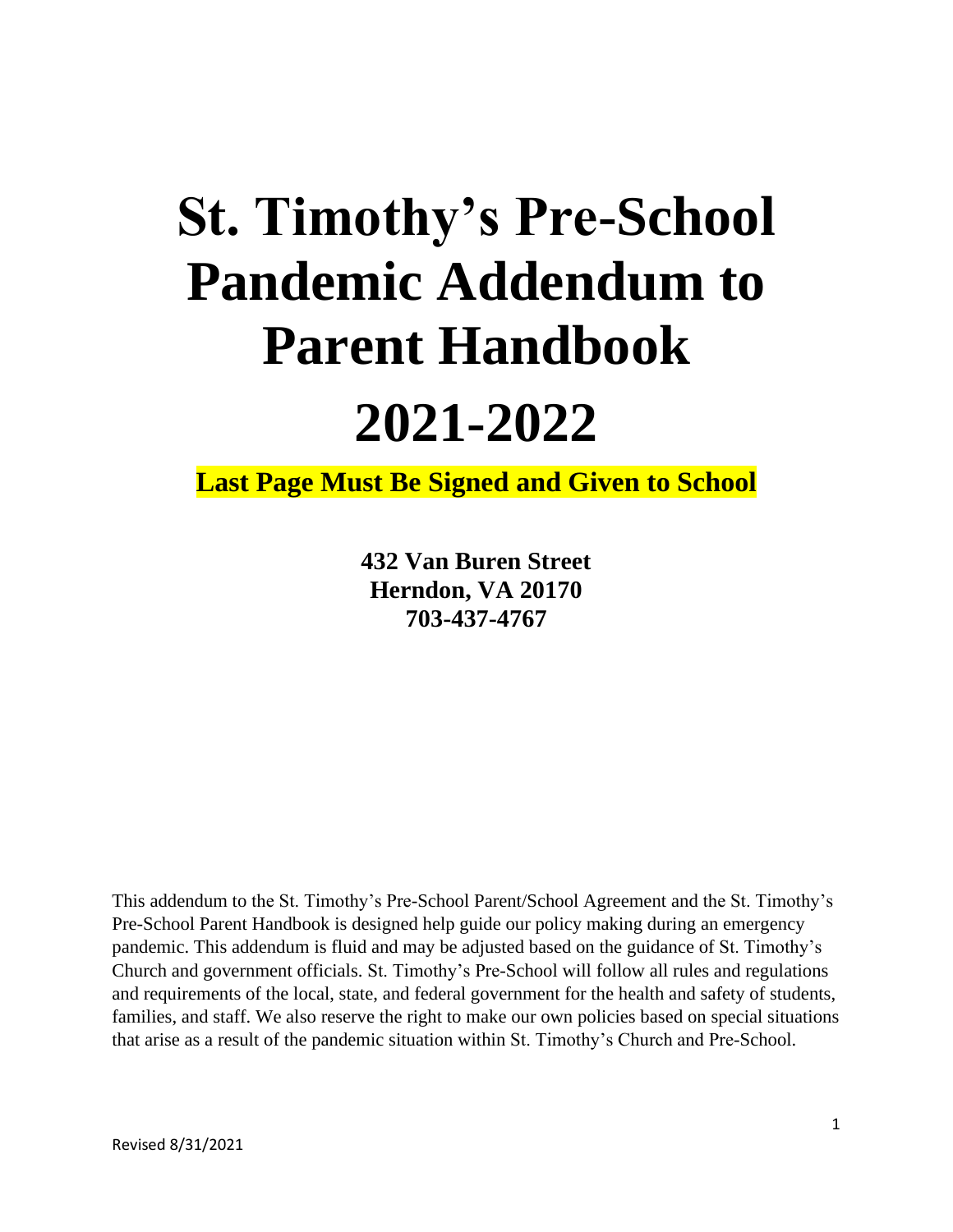# **St. Timothy's Pre-School Pandemic Addendum to Parent Handbook**

# **2021-2022**

**Last Page Must Be Signed and Given to School**

**432 Van Buren Street Herndon, VA 20170 703-437-4767**

This addendum to the St. Timothy's Pre-School Parent/School Agreement and the St. Timothy's Pre-School Parent Handbook is designed help guide our policy making during an emergency pandemic. This addendum is fluid and may be adjusted based on the guidance of St. Timothy's Church and government officials. St. Timothy's Pre-School will follow all rules and regulations and requirements of the local, state, and federal government for the health and safety of students, families, and staff. We also reserve the right to make our own policies based on special situations that arise as a result of the pandemic situation within St. Timothy's Church and Pre-School.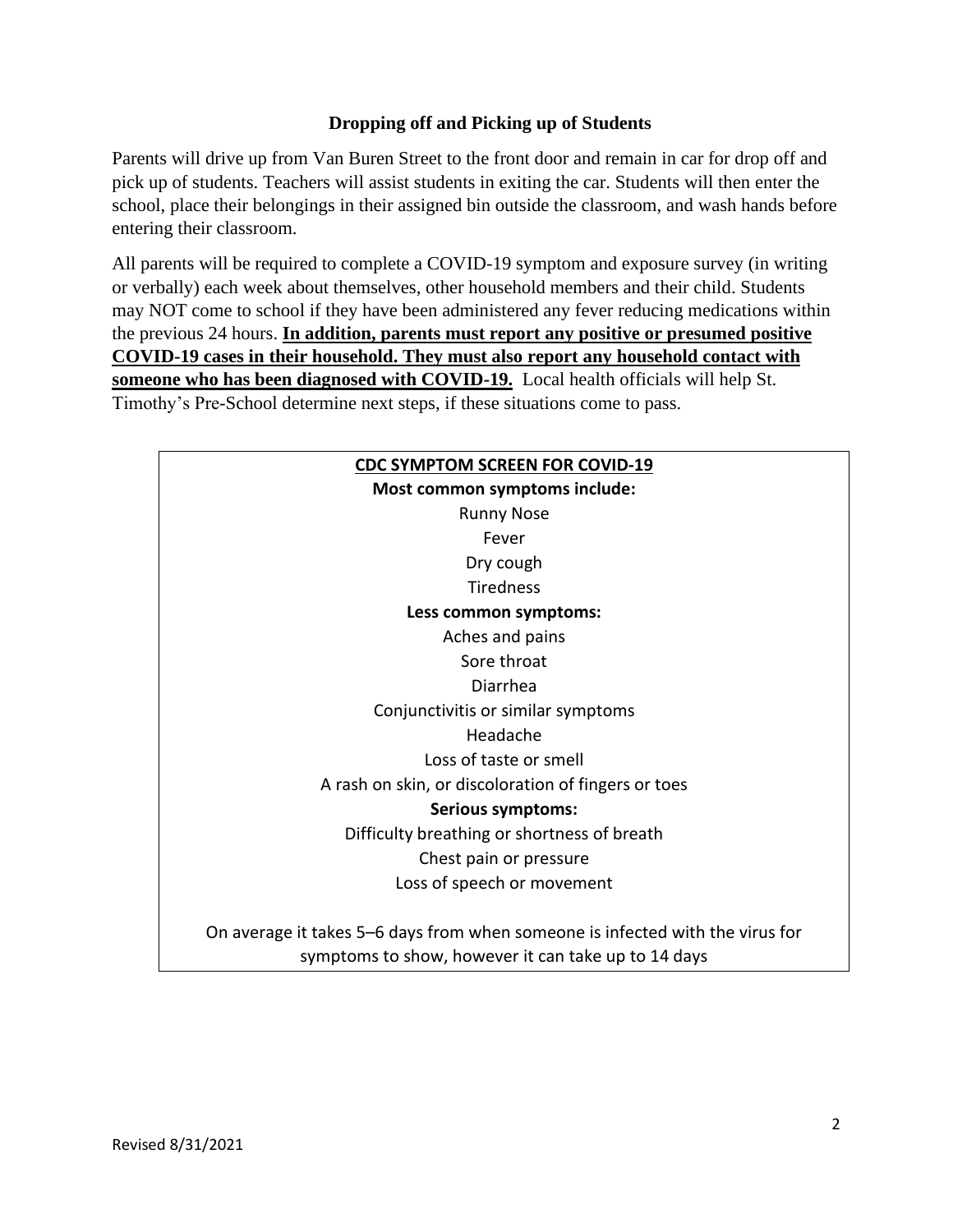## **Dropping off and Picking up of Students**

Parents will drive up from Van Buren Street to the front door and remain in car for drop off and pick up of students. Teachers will assist students in exiting the car. Students will then enter the school, place their belongings in their assigned bin outside the classroom, and wash hands before entering their classroom.

All parents will be required to complete a COVID-19 symptom and exposure survey (in writing or verbally) each week about themselves, other household members and their child. Students may NOT come to school if they have been administered any fever reducing medications within the previous 24 hours. **In addition, parents must report any positive or presumed positive COVID-19 cases in their household. They must also report any household contact with someone who has been diagnosed with COVID-19.** Local health officials will help St. Timothy's Pre-School determine next steps, if these situations come to pass.

| <b>CDC SYMPTOM SCREEN FOR COVID-19</b>                                        |  |  |
|-------------------------------------------------------------------------------|--|--|
| Most common symptoms include:                                                 |  |  |
| <b>Runny Nose</b>                                                             |  |  |
| Fever                                                                         |  |  |
| Dry cough                                                                     |  |  |
| <b>Tiredness</b>                                                              |  |  |
| Less common symptoms:                                                         |  |  |
| Aches and pains                                                               |  |  |
| Sore throat                                                                   |  |  |
| Diarrhea                                                                      |  |  |
| Conjunctivitis or similar symptoms                                            |  |  |
| Headache                                                                      |  |  |
| Loss of taste or smell                                                        |  |  |
| A rash on skin, or discoloration of fingers or toes                           |  |  |
| <b>Serious symptoms:</b>                                                      |  |  |
| Difficulty breathing or shortness of breath                                   |  |  |
| Chest pain or pressure                                                        |  |  |
| Loss of speech or movement                                                    |  |  |
| On average it takes 5–6 days from when someone is infected with the virus for |  |  |
| symptoms to show, however it can take up to 14 days                           |  |  |
|                                                                               |  |  |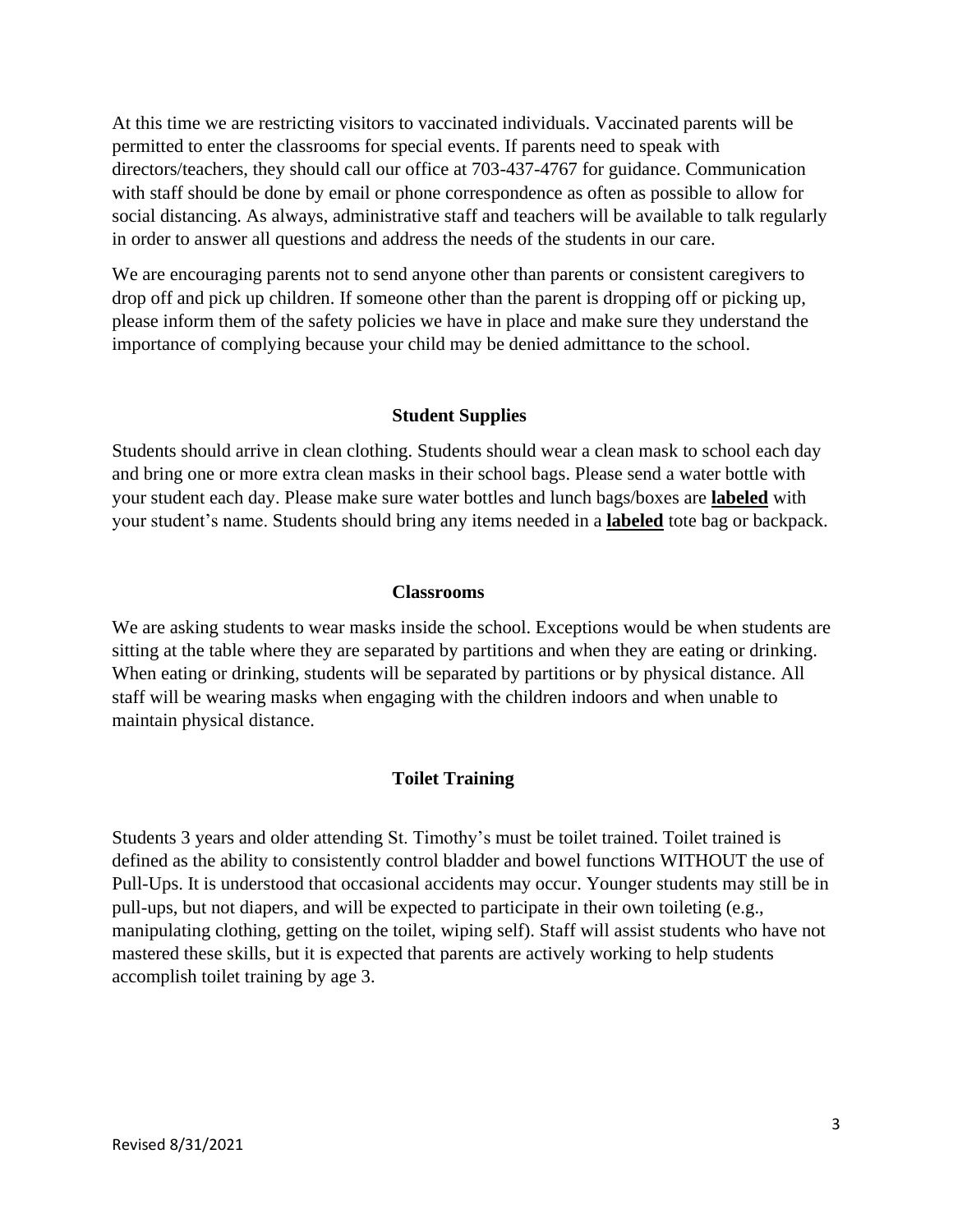At this time we are restricting visitors to vaccinated individuals. Vaccinated parents will be permitted to enter the classrooms for special events. If parents need to speak with directors/teachers, they should call our office at 703-437-4767 for guidance. Communication with staff should be done by email or phone correspondence as often as possible to allow for social distancing. As always, administrative staff and teachers will be available to talk regularly in order to answer all questions and address the needs of the students in our care.

We are encouraging parents not to send anyone other than parents or consistent caregivers to drop off and pick up children. If someone other than the parent is dropping off or picking up, please inform them of the safety policies we have in place and make sure they understand the importance of complying because your child may be denied admittance to the school.

#### **Student Supplies**

Students should arrive in clean clothing. Students should wear a clean mask to school each day and bring one or more extra clean masks in their school bags. Please send a water bottle with your student each day. Please make sure water bottles and lunch bags/boxes are **labeled** with your student's name. Students should bring any items needed in a **labeled** tote bag or backpack.

#### **Classrooms**

We are asking students to wear masks inside the school. Exceptions would be when students are sitting at the table where they are separated by partitions and when they are eating or drinking. When eating or drinking, students will be separated by partitions or by physical distance. All staff will be wearing masks when engaging with the children indoors and when unable to maintain physical distance.

#### **Toilet Training**

Students 3 years and older attending St. Timothy's must be toilet trained. Toilet trained is defined as the ability to consistently control bladder and bowel functions WITHOUT the use of Pull-Ups. It is understood that occasional accidents may occur. Younger students may still be in pull-ups, but not diapers, and will be expected to participate in their own toileting (e.g., manipulating clothing, getting on the toilet, wiping self). Staff will assist students who have not mastered these skills, but it is expected that parents are actively working to help students accomplish toilet training by age 3.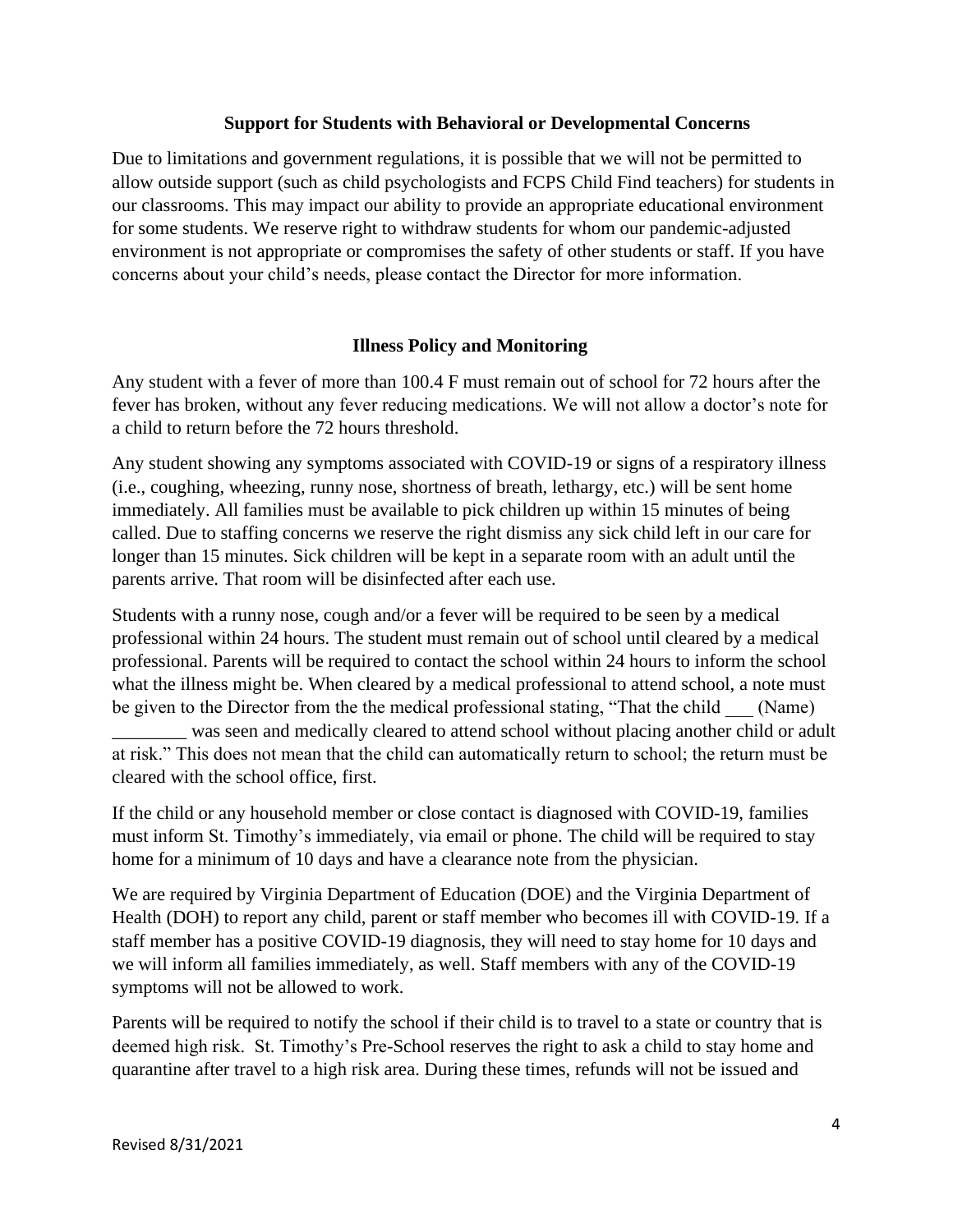#### **Support for Students with Behavioral or Developmental Concerns**

Due to limitations and government regulations, it is possible that we will not be permitted to allow outside support (such as child psychologists and FCPS Child Find teachers) for students in our classrooms. This may impact our ability to provide an appropriate educational environment for some students. We reserve right to withdraw students for whom our pandemic-adjusted environment is not appropriate or compromises the safety of other students or staff. If you have concerns about your child's needs, please contact the Director for more information.

#### **Illness Policy and Monitoring**

Any student with a fever of more than 100.4 F must remain out of school for 72 hours after the fever has broken, without any fever reducing medications. We will not allow a doctor's note for a child to return before the 72 hours threshold.

Any student showing any symptoms associated with COVID-19 or signs of a respiratory illness (i.e., coughing, wheezing, runny nose, shortness of breath, lethargy, etc.) will be sent home immediately. All families must be available to pick children up within 15 minutes of being called. Due to staffing concerns we reserve the right dismiss any sick child left in our care for longer than 15 minutes. Sick children will be kept in a separate room with an adult until the parents arrive. That room will be disinfected after each use.

Students with a runny nose, cough and/or a fever will be required to be seen by a medical professional within 24 hours. The student must remain out of school until cleared by a medical professional. Parents will be required to contact the school within 24 hours to inform the school what the illness might be. When cleared by a medical professional to attend school, a note must be given to the Director from the the medical professional stating, "That the child (Name)

\_\_\_\_\_\_\_\_ was seen and medically cleared to attend school without placing another child or adult at risk." This does not mean that the child can automatically return to school; the return must be cleared with the school office, first.

If the child or any household member or close contact is diagnosed with COVID-19, families must inform St. Timothy's immediately, via email or phone. The child will be required to stay home for a minimum of 10 days and have a clearance note from the physician.

We are required by Virginia Department of Education (DOE) and the Virginia Department of Health (DOH) to report any child, parent or staff member who becomes ill with COVID-19. If a staff member has a positive COVID-19 diagnosis, they will need to stay home for 10 days and we will inform all families immediately, as well. Staff members with any of the COVID-19 symptoms will not be allowed to work.

Parents will be required to notify the school if their child is to travel to a state or country that is deemed high risk. St. Timothy's Pre-School reserves the right to ask a child to stay home and quarantine after travel to a high risk area. During these times, refunds will not be issued and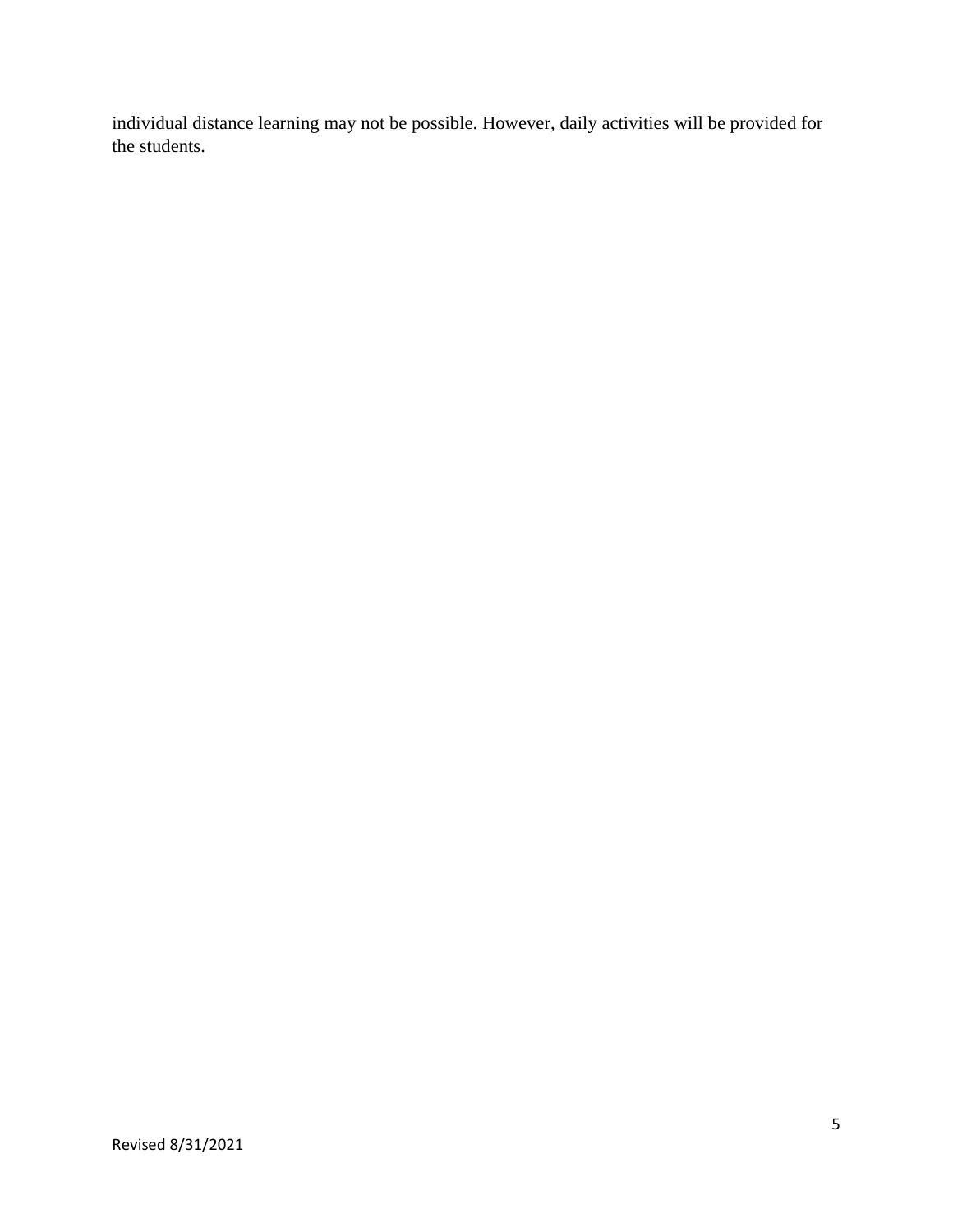individual distance learning may not be possible. However, daily activities will be provided for the students.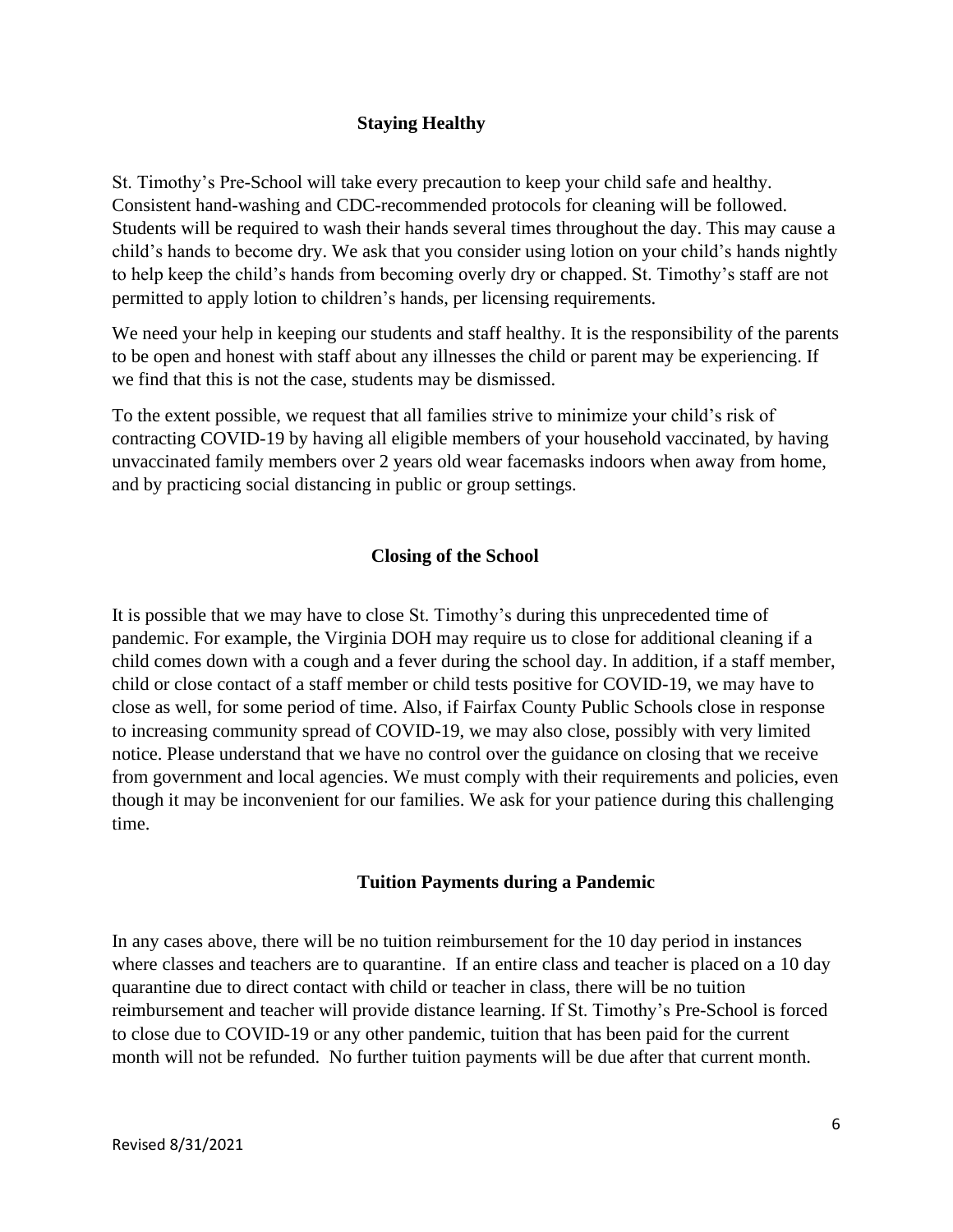#### **Staying Healthy**

St. Timothy's Pre-School will take every precaution to keep your child safe and healthy. Consistent hand-washing and CDC-recommended protocols for cleaning will be followed. Students will be required to wash their hands several times throughout the day. This may cause a child's hands to become dry. We ask that you consider using lotion on your child's hands nightly to help keep the child's hands from becoming overly dry or chapped. St. Timothy's staff are not permitted to apply lotion to children's hands, per licensing requirements.

We need your help in keeping our students and staff healthy. It is the responsibility of the parents to be open and honest with staff about any illnesses the child or parent may be experiencing. If we find that this is not the case, students may be dismissed.

To the extent possible, we request that all families strive to minimize your child's risk of contracting COVID-19 by having all eligible members of your household vaccinated, by having unvaccinated family members over 2 years old wear facemasks indoors when away from home, and by practicing social distancing in public or group settings.

#### **Closing of the School**

It is possible that we may have to close St. Timothy's during this unprecedented time of pandemic. For example, the Virginia DOH may require us to close for additional cleaning if a child comes down with a cough and a fever during the school day. In addition, if a staff member, child or close contact of a staff member or child tests positive for COVID-19, we may have to close as well, for some period of time. Also, if Fairfax County Public Schools close in response to increasing community spread of COVID-19, we may also close, possibly with very limited notice. Please understand that we have no control over the guidance on closing that we receive from government and local agencies. We must comply with their requirements and policies, even though it may be inconvenient for our families. We ask for your patience during this challenging time.

#### **Tuition Payments during a Pandemic**

In any cases above, there will be no tuition reimbursement for the 10 day period in instances where classes and teachers are to quarantine. If an entire class and teacher is placed on a 10 day quarantine due to direct contact with child or teacher in class, there will be no tuition reimbursement and teacher will provide distance learning. If St. Timothy's Pre-School is forced to close due to COVID-19 or any other pandemic, tuition that has been paid for the current month will not be refunded. No further tuition payments will be due after that current month.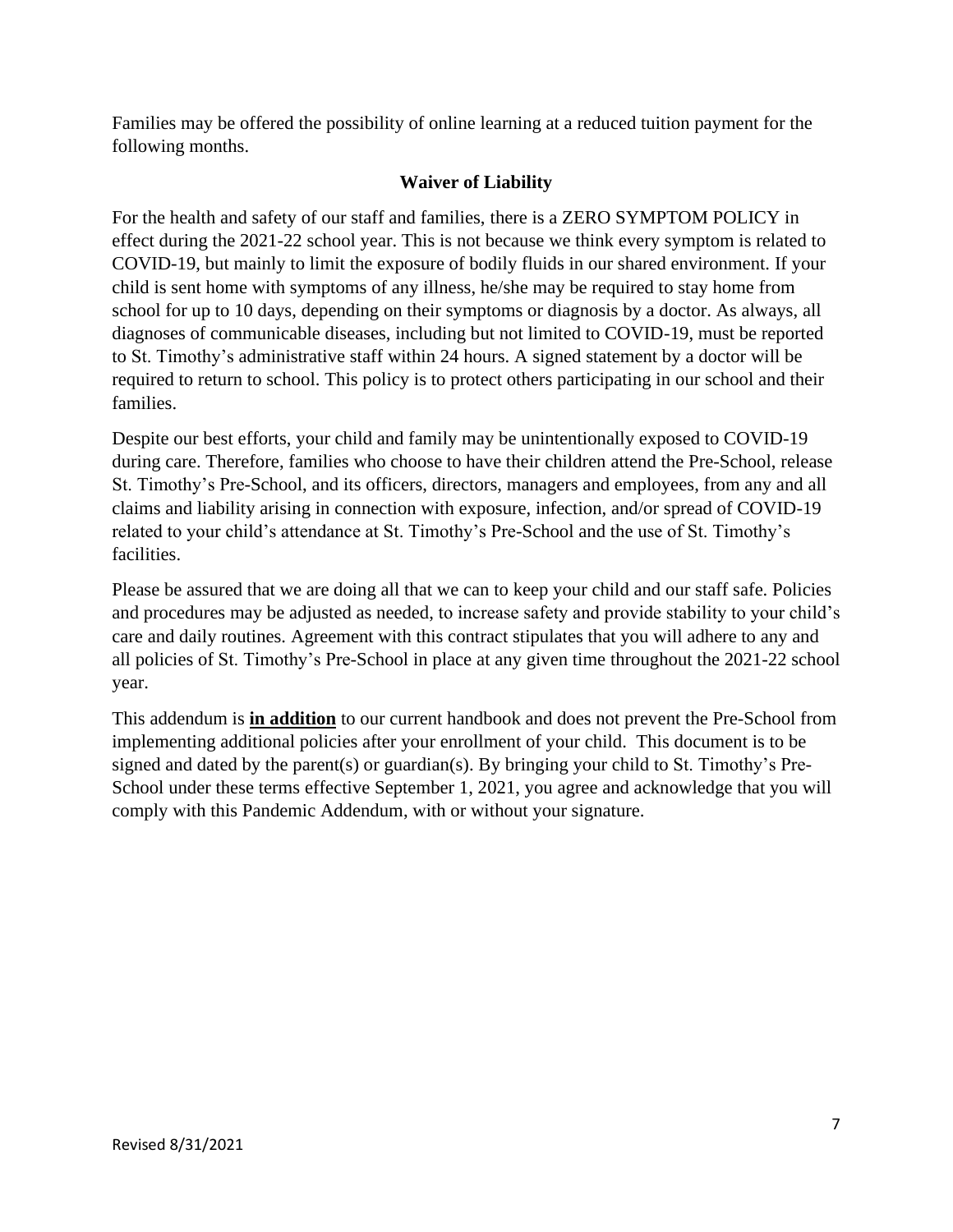Families may be offered the possibility of online learning at a reduced tuition payment for the following months.

# **Waiver of Liability**

For the health and safety of our staff and families, there is a ZERO SYMPTOM POLICY in effect during the 2021-22 school year. This is not because we think every symptom is related to COVID-19, but mainly to limit the exposure of bodily fluids in our shared environment. If your child is sent home with symptoms of any illness, he/she may be required to stay home from school for up to 10 days, depending on their symptoms or diagnosis by a doctor. As always, all diagnoses of communicable diseases, including but not limited to COVID-19, must be reported to St. Timothy's administrative staff within 24 hours. A signed statement by a doctor will be required to return to school. This policy is to protect others participating in our school and their families.

Despite our best efforts, your child and family may be unintentionally exposed to COVID-19 during care. Therefore, families who choose to have their children attend the Pre-School, release St. Timothy's Pre-School, and its officers, directors, managers and employees, from any and all claims and liability arising in connection with exposure, infection, and/or spread of COVID-19 related to your child's attendance at St. Timothy's Pre-School and the use of St. Timothy's facilities.

Please be assured that we are doing all that we can to keep your child and our staff safe. Policies and procedures may be adjusted as needed, to increase safety and provide stability to your child's care and daily routines. Agreement with this contract stipulates that you will adhere to any and all policies of St. Timothy's Pre-School in place at any given time throughout the 2021-22 school year.

This addendum is **in addition** to our current handbook and does not prevent the Pre-School from implementing additional policies after your enrollment of your child. This document is to be signed and dated by the parent(s) or guardian(s). By bringing your child to St. Timothy's Pre-School under these terms effective September 1, 2021, you agree and acknowledge that you will comply with this Pandemic Addendum, with or without your signature.